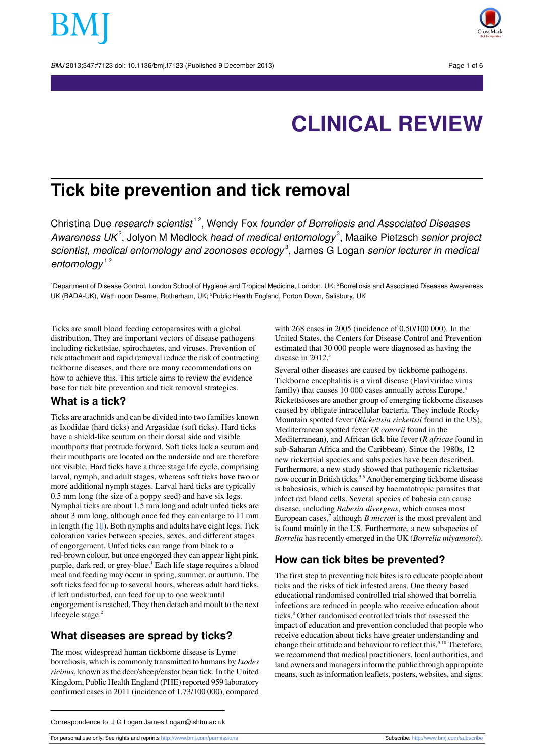BMJ 2013;347:f7123 doi: 10.1136/bmj.f7123 (Published 9 December 2013) Page 1 of 6



# **CLINICAL REVIEW**

## **Tick bite prevention and tick removal**

Christina Due *research scientist*<sup>12</sup>, Wendy Fox founder of Borreliosis and Associated Diseases Awareness UK<sup>2</sup>, Jolyon M Medlock head of medical entomology<sup>3</sup>, Maaike Pietzsch senior project scientist, medical entomology and zoonoses ecology<sup>3</sup>, James G Logan senior lecturer in medical entomology<sup>12</sup>

<sup>1</sup>Department of Disease Control, London School of Hygiene and Tropical Medicine, London, UK; <sup>2</sup>Borreliosis and Associated Diseases Awareness UK (BADA-UK), Wath upon Dearne, Rotherham, UK; <sup>3</sup>Public Health England, Porton Down, Salisbury, UK

Ticks are small blood feeding ectoparasites with a global distribution. They are important vectors of disease pathogens including rickettsiae, spirochaetes, and viruses. Prevention of tick attachment and rapid removal reduce the risk of contracting tickborne diseases, and there are many recommendations on how to achieve this. This article aims to review the evidence base for tick bite prevention and tick removal strategies.

#### **What is a tick?**

Ticks are arachnids and can be divided into two families known as Ixodidae (hard ticks) and Argasidae (soft ticks). Hard ticks have a shield-like scutum on their dorsal side and visible mouthparts that protrude forward. Soft ticks lack a scutum and their mouthparts are located on the underside and are therefore not visible. Hard ticks have a three stage life cycle, comprising larval, nymph, and adult stages, whereas soft ticks have two or more additional nymph stages. Larval hard ticks are typically 0.5 mm long (the size of a poppy seed) and have six legs. Nymphal ticks are about 1.5 mm long and adult unfed ticks are about 3 mm long, although once fed they can enlarge to 11 mm in length (fig [1⇓\)](#page-4-0). Both nymphs and adults have eight legs. Tick coloration varies between species, sexes, and different stages of engorgement. Unfed ticks can range from black to a red-brown colour, but once engorged they can appear light pink, purple, dark red, or grey-blue.<sup>1</sup> Each life stage requires a blood meal and feeding may occur in spring, summer, or autumn. The soft ticks feed for up to several hours, whereas adult hard ticks, if left undisturbed, can feed for up to one week until engorgement is reached. They then detach and moult to the next lifecycle stage.<sup>2</sup>

#### **What diseases are spread by ticks?**

The most widespread human tickborne disease is Lyme borreliosis, which is commonly transmitted to humans by *Ixodes ricinus*, known as the deer/sheep/castor bean tick. In the United Kingdom, Public Health England (PHE) reported 959 laboratory confirmed casesin 2011 (incidence of 1.73/100 000), compared

with 268 cases in 2005 (incidence of 0.50/100 000). In the United States, the Centers for Disease Control and Prevention estimated that 30 000 people were diagnosed as having the disease in 2012.<sup>3</sup>

Several other diseases are caused by tickborne pathogens. Tickborne encephalitis is a viral disease (Flaviviridae virus family) that causes 10 000 cases annually across Europe.<sup>4</sup> Rickettsioses are another group of emerging tickborne diseases caused by obligate intracellular bacteria. They include Rocky Mountain spotted fever (*Rickettsia rickettsii* found in the US), Mediterranean spotted fever (*R conorii* found in the Mediterranean), and African tick bite fever (*R africae* found in sub-Saharan Africa and the Caribbean). Since the 1980s, 12 new rickettsial species and subspecies have been described. Furthermore, a new study showed that pathogenic rickettsiae now occur in British ticks.<sup>56</sup> Another emerging tickborne disease is babesiosis, which is caused by haematotropic parasites that infect red blood cells. Several species of babesia can cause disease, including *Babesia divergens*, which causes most European cases,<sup>7</sup> although *B microti* is the most prevalent and is found mainly in the US. Furthermore, a new subspecies of *Borrelia* has recently emerged in the UK (*Borrelia miyamotoi*).

#### **How can tick bites be prevented?**

The first step to preventing tick bites is to educate people about ticks and the risks of tick infested areas. One theory based educational randomised controlled trial showed that borrelia infections are reduced in people who receive education about ticks.<sup>8</sup> Other randomised controlled trials that assessed the impact of education and prevention concluded that people who receive education about ticks have greater understanding and change their attitude and behaviour to reflect this.<sup>9 10</sup> Therefore, we recommend that medical practitioners, local authorities, and land owners and managers inform the public through appropriate means, such as information leaflets, posters, websites, and signs.

For personal use only: See rights and reprints<http://www.bmj.com/permissions> Subscribe: <http://www.bmj.com/subscribe>

Correspondence to: J G Logan James.Logan@lshtm.ac.uk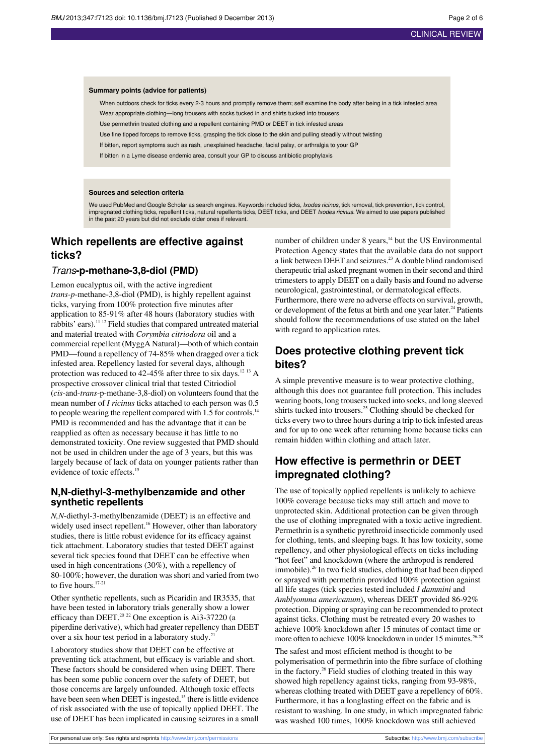#### **Summary points (advice for patients)**

When outdoors check for ticks every 2-3 hours and promptly remove them; self examine the body after being in a tick infested area Wear appropriate clothing—long trousers with socks tucked in and shirts tucked into trousers

Use permethrin treated clothing and a repellent containing PMD or DEET in tick infested areas

Use fine tipped forceps to remove ticks, grasping the tick close to the skin and pulling steadily without twisting

If bitten, report symptoms such as rash, unexplained headache, facial palsy, or arthralgia to your GP

If bitten in a Lyme disease endemic area, consult your GP to discuss antibiotic prophylaxis

#### **Sources and selection criteria**

We used PubMed and Google Scholar as search engines. Keywords included ticks, Ixodes ricinus, tick removal, tick prevention, tick control, impregnated clothing ticks, repellent ticks, natural repellents ticks, DEET ticks, and DEET *Ixodes ricinus*. We aimed to use papers published<br>in the past 20 years but did not exclude older ones if relevant.

### **Which repellents are effective against ticks?**

#### Trans**-p-methane-3,8-diol (PMD)**

Lemon eucalyptus oil, with the active ingredient *trans-p*-methane-3,8-diol (PMD), is highly repellent against ticks, varying from 100% protection five minutes after application to 85-91% after 48 hours (laboratory studies with rabbits' ears).<sup>11 12</sup> Field studies that compared untreated material and material treated with *Corymbia citriodora* oil and a commercial repellent (MyggA Natural)—both of which contain PMD—found a repellency of 74-85% when dragged over a tick infested area. Repellency lasted for several days, although protection was reduced to 42-45% after three to six days.<sup>12 13</sup> A prospective crossover clinical trial that tested Citriodiol (*cis*-and-*trans*-p-methane-3,8-diol) on volunteers found that the mean number of *I ricinus* ticks attached to each person was 0.5 to people wearing the repellent compared with 1.5 for controls.<sup>14</sup> PMD is recommended and has the advantage that it can be reapplied as often as necessary because it has little to no demonstrated toxicity. One review suggested that PMD should not be used in children under the age of 3 years, but this was largely because of lack of data on younger patients rather than evidence of toxic effects.<sup>15</sup>

#### **N,N-diethyl-3-methylbenzamide and other synthetic repellents**

*N,N*-diethyl-3-methylbenzamide (DEET) is an effective and widely used insect repellent.<sup>16</sup> However, other than laboratory studies, there is little robust evidence for its efficacy against tick attachment. Laboratory studies that tested DEET against several tick species found that DEET can be effective when used in high concentrations (30%), with a repellency of 80-100%; however, the duration was short and varied from two to five hours.<sup>17-21</sup>

Other synthetic repellents, such as Picaridin and IR3535, that have been tested in laboratory trials generally show a lower efficacy than DEET.<sup>20 22</sup> One exception is Ai3-37220 (a piperdine derivative), which had greater repellency than DEET over a six hour test period in a laboratory study.<sup>21</sup>

Laboratory studies show that DEET can be effective at preventing tick attachment, but efficacy is variable and short. These factors should be considered when using DEET. There has been some public concern over the safety of DEET, but those concerns are largely unfounded. Although toxic effects have been seen when DEET is ingested,<sup>15</sup> there is little evidence of risk associated with the use of topically applied DEET. The use of DEET has been implicated in causing seizures in a small

number of children under  $8$  years,<sup>14</sup> but the US Environmental Protection Agency states that the available data do not support a link between DEET and seizures.<sup>23</sup> A double blind randomised therapeutic trial asked pregnant women in their second and third trimesters to apply DEET on a daily basis and found no adverse neurological, gastrointestinal, or dermatological effects. Furthermore, there were no adverse effects on survival, growth, or development of the fetus at birth and one year later.<sup>24</sup> Patients should follow the recommendations of use stated on the label with regard to application rates.

#### **Does protective clothing prevent tick bites?**

A simple preventive measure is to wear protective clothing, although this does not guarantee full protection. This includes wearing boots, long trousers tucked into socks, and long sleeved shirts tucked into trousers.<sup>25</sup> Clothing should be checked for ticks every two to three hours during a trip to tick infested areas and for up to one week after returning home because ticks can remain hidden within clothing and attach later.

## **How effective is permethrin or DEET impregnated clothing?**

The use of topically applied repellents is unlikely to achieve 100% coverage because ticks may still attach and move to unprotected skin. Additional protection can be given through the use of clothing impregnated with a toxic active ingredient. Permethrin is a synthetic pyrethroid insecticide commonly used for clothing, tents, and sleeping bags. It has low toxicity, some repellency, and other physiological effects on ticks including "hot feet" and knockdown (where the arthropod is rendered immobile).<sup>26</sup> In two field studies, clothing that had been dipped or sprayed with permethrin provided 100% protection against all life stages (tick species tested included *I dammini* and *Amblyomma americanum*), whereas DEET provided 86-92% protection. Dipping orspraying can be recommended to protect against ticks. Clothing must be retreated every 20 washes to achieve 100% knockdown after 15 minutes of contact time or more often to achieve 100% knockdown in under 15 minutes.<sup>26-28</sup>

The safest and most efficient method is thought to be polymerisation of permethrin into the fibre surface of clothing in the factory.<sup>26</sup> Field studies of clothing treated in this way showed high repellency against ticks, ranging from 93-98%, whereas clothing treated with DEET gave a repellency of 60%. Furthermore, it has a longlasting effect on the fabric and is resistant to washing. In one study, in which impregnated fabric was washed 100 times, 100% knockdown was still achieved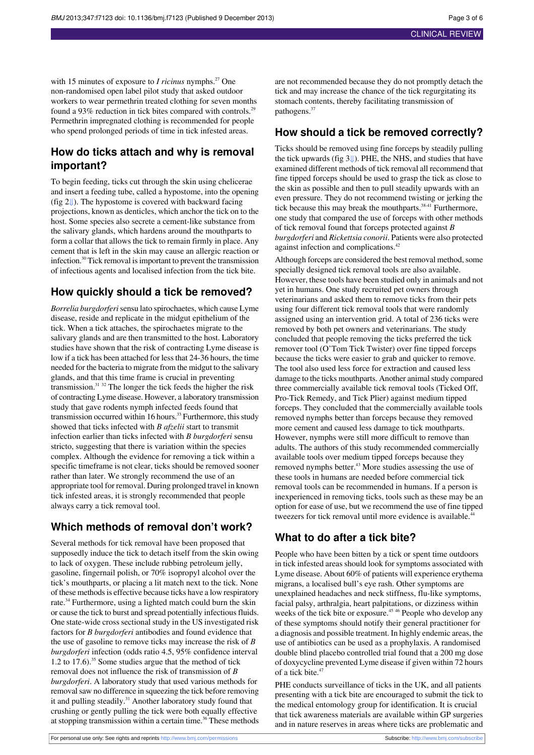with 15 minutes of exposure to *I ricinus* nymphs.<sup>27</sup> One non-randomised open label pilot study that asked outdoor workers to wear permethrin treated clothing for seven months found a 93% reduction in tick bites compared with controls.<sup>29</sup> Permethrin impregnated clothing is recommended for people who spend prolonged periods of time in tick infested areas.

### **How do ticks attach and why is removal important?**

To begin feeding, ticks cut through the skin using chelicerae and insert a feeding tube, called a hypostome, into the opening (fig [2⇓](#page-4-1)). The hypostome is covered with backward facing projections, known as denticles, which anchor the tick on to the host. Some species also secrete a cement-like substance from the salivary glands, which hardens around the mouthparts to form a collar that allows the tick to remain firmly in place. Any cement that is left in the skin may cause an allergic reaction or infection.<sup>30</sup> Tick removal isimportant to prevent the transmission of infectious agents and localised infection from the tick bite.

#### **How quickly should a tick be removed?**

*Borrelia burgdorferi*sensu lato spirochaetes, which cause Lyme disease, reside and replicate in the midgut epithelium of the tick. When a tick attaches, the spirochaetes migrate to the salivary glands and are then transmitted to the host. Laboratory studies have shown that the risk of contracting Lyme disease is low if a tick has been attached for less that 24-36 hours, the time needed for the bacteria to migrate from the midgut to the salivary glands, and that this time frame is crucial in preventing transmission.<sup>31</sup> <sup>32</sup> The longer the tick feeds the higher the risk of contracting Lyme disease. However, a laboratory transmission study that gave rodents nymph infected feeds found that transmission occurred within 16 hours.<sup>33</sup> Furthermore, this study showed that ticks infected with *B afzelii* start to transmit infection earlier than ticks infected with *B burgdorferi* sensu stricto, suggesting that there is variation within the species complex. Although the evidence for removing a tick within a specific timeframe is not clear, ticks should be removed sooner rather than later. We strongly recommend the use of an appropriate tool for removal. During prolonged travel in known tick infested areas, it is strongly recommended that people always carry a tick removal tool.

### **Which methods of removal don't work?**

Several methods for tick removal have been proposed that supposedly induce the tick to detach itself from the skin owing to lack of oxygen. These include rubbing petroleum jelly, gasoline, fingernail polish, or 70% isopropyl alcohol over the tick's mouthparts, or placing a lit match next to the tick. None of these methodsis effective because ticks have a low respiratory rate.<sup>34</sup> Furthermore, using a lighted match could burn the skin or cause the tick to burst and spread potentially infectiousfluids. One state-wide cross sectional study in the US investigated risk factors for *B burgdorferi* antibodies and found evidence that the use of gasoline to remove ticks may increase the risk of *B burgdorferi* infection (odds ratio 4.5, 95% confidence interval 1.2 to 17.6).<sup>35</sup> Some studies argue that the method of tick removal does not influence the risk of transmission of *B burgdorferi*. A laboratory study that used various methods for removal saw no difference in squeezing the tick before removing it and pulling steadily.<sup>31</sup> Another laboratory study found that crushing or gently pulling the tick were both equally effective at stopping transmission within a certain time.<sup>36</sup> These methods are not recommended because they do not promptly detach the tick and may increase the chance of the tick regurgitating its stomach contents, thereby facilitating transmission of pathogens.<sup>37</sup>

## **How should a tick be removed correctly?**

Ticks should be removed using fine forceps by steadily pulling the tick upwards (fig [3⇓](#page-5-0)). PHE, the NHS, and studies that have examined different methods of tick removal all recommend that fine tipped forceps should be used to grasp the tick as close to the skin as possible and then to pull steadily upwards with an even pressure. They do not recommend twisting or jerking the tick because this may break the mouthparts.<sup>38-41</sup> Furthermore, one study that compared the use of forceps with other methods of tick removal found that forceps protected against *B burgdorferi* and *Rickettsia conorii*. Patients were also protected against infection and complications.<sup>42</sup>

Although forceps are considered the best removal method, some specially designed tick removal tools are also available. However, these tools have been studied only in animals and not yet in humans. One study recruited pet owners through veterinarians and asked them to remove ticks from their pets using four different tick removal tools that were randomly assigned using an intervention grid. A total of 236 ticks were removed by both pet owners and veterinarians. The study concluded that people removing the ticks preferred the tick remover tool (O'Tom Tick Twister) over fine tipped forceps because the ticks were easier to grab and quicker to remove. The tool also used less force for extraction and caused less damage to the ticks mouthparts. Another animal study compared three commercially available tick removal tools (Ticked Off, Pro-Tick Remedy, and Tick Plier) against medium tipped forceps. They concluded that the commercially available tools removed nymphs better than forceps because they removed more cement and caused less damage to tick mouthparts. However, nymphs were still more difficult to remove than adults. The authors of this study recommended commercially available tools over medium tipped forceps because they removed nymphs better.<sup>43</sup> More studies assessing the use of these tools in humans are needed before commercial tick removal tools can be recommended in humans. If a person is inexperienced in removing ticks, tools such as these may be an option for ease of use, but we recommend the use of fine tipped tweezers for tick removal until more evidence is available.<sup>4</sup>

## **What to do after a tick bite?**

People who have been bitten by a tick or spent time outdoors in tick infested areas should look for symptoms associated with Lyme disease. About 60% of patients will experience erythema migrans, a localised bull's eye rash. Other symptoms are unexplained headaches and neck stiffness, flu-like symptoms, facial palsy, arthralgia, heart palpitations, or dizziness within weeks of the tick bite or exposure.<sup>45 46</sup> People who develop any of these symptoms should notify their general practitioner for a diagnosis and possible treatment. In highly endemic areas, the use of antibiotics can be used as a prophylaxis. A randomised double blind placebo controlled trial found that a 200 mg dose of doxycycline prevented Lyme disease if given within 72 hours of a tick bite.<sup>47</sup>

PHE conducts surveillance of ticks in the UK, and all patients presenting with a tick bite are encouraged to submit the tick to the medical entomology group for identification. It is crucial that tick awareness materials are available within GP surgeries and in nature reserves in areas where ticks are problematic and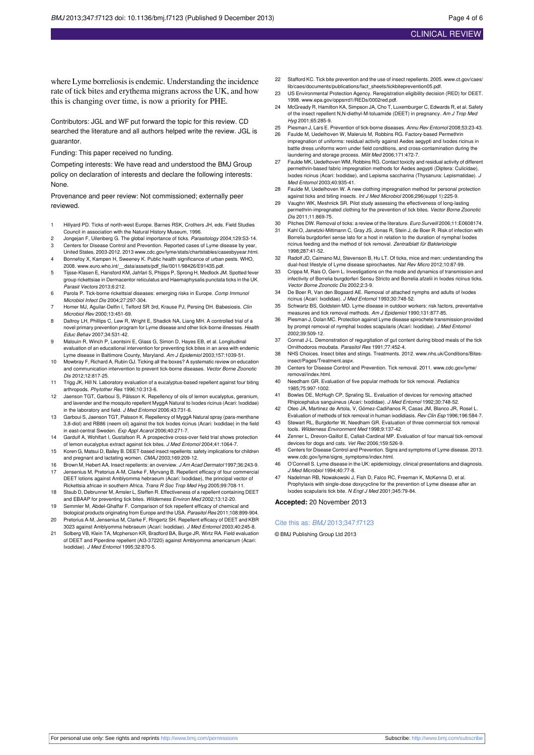where Lyme borreliosis is endemic. Understanding the incidence rate of tick bites and erythema migrans across the UK, and how this is changing over time, is now a priority for PHE.

Contributors: JGL and WF put forward the topic for this review. CD searched the literature and all authors helped write the review. JGL is guarantor.

Funding: This paper received no funding.

Competing interests: We have read and understood the BMJ Group policy on declaration of interests and declare the following interests: None.

Provenance and peer review: Not commissioned; externally peer reviewed.

- 1 Hillyard PD. Ticks of north-west Europe. Barnes RSK, Crothers JH, eds. Field Studies Council in association with the Natural History Museum, 1996.
- 2 Jongejan F, Uilenberg G. The global importance of ticks. Parasitology 2004;129:S3-14.
- 3 Centers for Disease Control and Prevention. Reported cases of Lyme disease by year, United States, 2003-2012. 2013 [www.cdc.gov/lyme/stats/chartstables/casesbyyear.html](http://www.cdc.gov/lyme/stats/chartstables/casesbyyear.html).
- 4 Bonnefoy X, Kampen H, Sweeney K. Public health significance of urban pests. WHO, 2008. [www.euro.who.int/\\_\\_data/assets/pdf\\_file/0011/98426/E91435.pdf.](http://www.euro.who.int/__data/assets/pdf_file/0011/98426/E91435.pdf)
- 5 Tijsse-Klasen E, Hansford KM, Jahfari S, Phipps P, Sprong H, Medlock JM. Spotted fever group rickettsiae in Dermacentor reticulatus and Haemaphysalis punctata ticks in the UK. Parasit Vectors 2013;6:212.
- 6 Parola P. Tick-borne rickettsial diseases: emerging risks in Europe. Comp Immunol Microbiol Infect Dis 2004;27:297-304.
- 7 Homer MJ, Aguilar-Delfin I, Telford SR 3rd, Krause PJ, Persing DH. Babesiosis. Clin Microbiol Rev 2000;13:451-69.
- 8 Daltroy LH, Phillips C, Lew R, Wright E, Shadick NA, Liang MH. A controlled trial of a novel primary prevention program for Lyme disease and other tick-borne illnesses. Health Educ Behav 2007;34:531-42.
- 9 Malouin R, Winch P, Leontsini E, Glass G, Simon D, Hayes EB, et al. Longitudinal evaluation of an educational intervention for preventing tick bites in an area with endemic Lyme disease in Baltimore County, Maryland. Am J Epidemiol 2003;157:1039-51.
- 10 Mowbray F, Richard A, Rubin GJ. Ticking all the boxes? A systematic review on education and communication intervention to prevent tick-borne diseases. Vector Borne Zoonotic Dis 2012;12:817-25.
- 11 Trigg JK, Hill N. Laboratory evaluation of a eucalyptus-based repellent against four biting arthropods. Phytother Res 1996;10:313-6.
- 12 Jaenson TGT, Garboui S, Pålsson K. Repellency of oils of lemon eucalyptus, geranium, and lavender and the mosquito repellent MyggA Natural to Ixodes ricinus (Acari: Ixodidae) in the laboratory and field. J Med Entomol 2006;43:731-6.
- 13 Garboui S, Jaenson TGT, Palsson K. Repellency of MyggA Natural spray (para-menthane 3,8-diol) and RB86 (neem oil) against the tick Ixodes ricinus (Acari: Ixodidae) in the field in east-central Sweden. Exp Appl Acarol 2006;40:271-7.
- 14 Gardulf A, Wohlfart I, Gustafson R. A prospective cross-over field trial shows protection of lemon eucalyptus extract against tick bites. J Med Entomol 2004;41:1064-7.
- 15 Koren G, Matsui D, Bailey B. DEET-based insect repellents: safety implications for children and pregnant and lactating women. CMAJ 2003;169:209-12.
- 16 Brown M, Hebert AA. Insect repellents: an overview. J Am Acad Dermatol 1997;36:243-9. 17 Jensenius M, Pretorius A-M, Clarke F, Myrvang B. Repellent efficacy of four commercial DEET lotions against Amblyomma hebraeum (Acari: Ixodidae), the principal vector of Rickettsia africae in southern Africa. Trans R Soc Trop Med Hyg 2005;99:708-11.
- 18 Staub D, Debrunner M, Amsler L, Steffen R. Effectiveness of a repellent containing DEET and EBAAP for preventing tick bites. Wilderness Environ Med 2002;13:12-20.
- 19 Semmler M, Abdel-Ghaffar F. Comparison of tick repellent efficacy of chemical and biological products originating from Europe and the USA. Parasitol Res 2011;108:899-904.
- 20 Pretorius A-M, Jensenius M, Clarke F, Ringertz SH. Repellent efficacy of DEET and KBR 3023 against Amblyomma hebraeum (Acari: Ixodidae). J Med Entomol 2003;40:245-8.
- 21 Solberg VB, Klein TA, Mcpherson KR, Bradford BA, Burge JR, Wirtz RA. Field evaluation of DEET and Piperdine repellent (AI3-37220) against Amblyomma americanum (Acari: Ixodidae). J Med Entomol 1995;32:870-5.
- 22 Stafford KC. Tick bite prevention and the use of insect repellents. 2005. [www.ct.gov/caes/](http://www.ct.gov/caes/lib/caes/documents/publications/fact_sheets/tickbiteprevention05.pdf) [lib/caes/documents/publications/fact\\_sheets/tickbiteprevention05.pdf.](http://www.ct.gov/caes/lib/caes/documents/publications/fact_sheets/tickbiteprevention05.pdf)
- 23 US Environmental Protection Agency. Reregistration eligibility decision (RED) for DEET. 1998. [www.epa.gov/oppsrrd1/REDs/0002red.pdf.](http://www.epa.gov/oppsrrd1/REDs/0002red.pdf)
- 24 McGready R, Hamilton KA, Simpson JA, Cho T, Luxemburger C, Edwards R, et al. Safety of the insect repellent N,N-diethyl-M-toluamide (DEET) in pregnancy. Am J Trop Med Hyg 2001;65:285-9.
- 25 Piesman J, Lars E. Prevention of tick-borne diseases. Annu Rev Entomol 2008;53:23-43. 26 Faulde M, Uedelhoven W, Maleruis M, Robbins RG. Factory-based Permethrin
- impregnation of uniforms: residual activity against Aedes aegypti and Ixodes ricinus in battle dress uniforms worn under field conditions, and cross-contamination during the laundering and storage process. Milit Med 2006;171:472-7.
- 27 Faulde MK, Uedelhoven WM, Robbins RG. Contact toxicity and residual activity of different permethrin-based fabric impregnation methods for Aedes aegypti (Diptera: Culicidae), Ixodes ricinus (Acari: Ixodidae), and Lepisma saccharina (Thysanura: Lepismatidae). J Med Entomol 2003;40:935-41.
- 28 Faulde M, Uedelhoven W. A new clothing impregnation method for personal protection against ticks and biting insects. Int J Med Microbiol 2006;296(suppl 1):225-9
- 29 Vaughn WK, Meshnick SR. Pilot study assessing the effectiveness of long-lasting permethrin-impregnated clothing for the prevention of tick bites. Vector Borne Zoonotic Dis 2011;11:869-75.
- 30 Pitches DW. Removal of ticks: a review of the literature. Euro Surveill 2006;11:E0608174.
- 31 Kahl O, Janetzki-Mittmann C, Gray JS, Jonas R, Stein J, de Boer R. Risk of infection with Borrelia burgdorferi sense lato for a host in relation to the duration of nymphal Ixodes ricinus feeding and the method of tick removal. Zentralblatt für Bakteriologie 1998;287:41-52.
- 32 Radolf JD, Caimano MJ, Stevenson B, Hu LT. Of ticks, mice and men: understanding the dual-host lifestyle of Lyme disease spirochaetes. Nat Rev Micro 2012;10:87-99.
- 33 Crippa M, Rais O, Gern L. Investigations on the mode and dynamics of transmission and infectivity of Borrelia burgdorferi Sensu Stricto and Borrelia afzelii in Ixodes ricinus ticks. Vector Borne Zoonotic Dis 2002;2:3-9.
- 34 De Boer R, Van den Bogaard AE. Removal of attached nymphs and adults of Ixodes ricinus (Acari: Ixodidae). J Med Entomol 1993;30:748-52.
- 35 Schwartz BS, Goldstein MD. Lyme disease in outdoor workers: risk factors, preventative measures and tick removal methods. Am J Epidemiol 1990;131:877-85.
- Piesman J, Dolan MC. Protection against Lyme disease spirochete transmi by prompt removal of nymphal Ixodes scapularis (Acari: Ixodidae). J Med Entomol 2002;39:509-12.
- 37 Connat J-L. Demonstration of regurgitation of gut content during blood meals of the tick Ornithodoros moubata. Parasitol Res 1991;77:452-4.
- 38 NHS Choices. Insect bites and stings. Treatments. 2012. [www.nhs.uk/Conditions/Bites](http://www.nhs.uk/Conditions/Bites-insect/Pages/Treatment.aspx)[insect/Pages/Treatment.aspx.](http://www.nhs.uk/Conditions/Bites-insect/Pages/Treatment.aspx)
- 39 Centers for Disease Control and Prevention. Tick removal. 2011. [www.cdc.gov/lyme/](http://www.cdc.gov/lyme/removal/index.html) [removal/index.html](http://www.cdc.gov/lyme/removal/index.html).
- 40 Needham GR. Evaluation of five popular methods for tick removal. Pediatrics 1985;75:997-1002.
- 41 Bowles DE, McHugh CP, Spraling SL. Evaluation of devices for removing attached Rhipicephalus sanguineus (Acari: Ixodidae). J Med Entomol 1992;30:748-52.
- 42 Oteo JA, Martinez de Artola, V, Gómez-Cadiñanos R, Casas JM, Blanco JR, Rosel L. Evaluation of methods of tick removal in human ixodidiasis. Rev Clin Esp 1996;196:584-7.<br>Stewart RL. Burgdorfer W. Needham GR. Evaluation of three commercial tick removal 43 Stewart RL, Burgdorfer W, Needham GR. Evaluation of three comme
- tools. Wilderness Environment Med 1998;9:137-42. 44 Zenner L, Drevon-Gaillot E, Callait-Cardinal MP. Evaluation of four manual tick-removal
- devices for dogs and cats. Vet Rec 2006;159:526-9. 45 Centers for Disease Control and Prevention. Signs and symptoms of Lyme disease. 2013. [www.cdc.gov/lyme/signs\\_symptoms/index.html](http://www.cdc.gov/lyme/signs_symptoms/index.html).
- 46 O'Connell S. Lyme disease in the UK: epidemiology, clinical presentations and diagnosis. J Med Microbiol 1994;40:77-8.
- 47 Nadelman RB, Nowakowski J, Fish D, Falco RC, Freeman K, McKenna D, et al. Prophylaxis with single-dose doxycycline for the prevention of Lyme disease after an Ixodes scapularis tick bite. N Engl J Med 2001;345:79-84.

**Accepted:** 20 November 2013

#### Cite this as: BMJ 2013;347:f7123

© BMJ Publishing Group Ltd 2013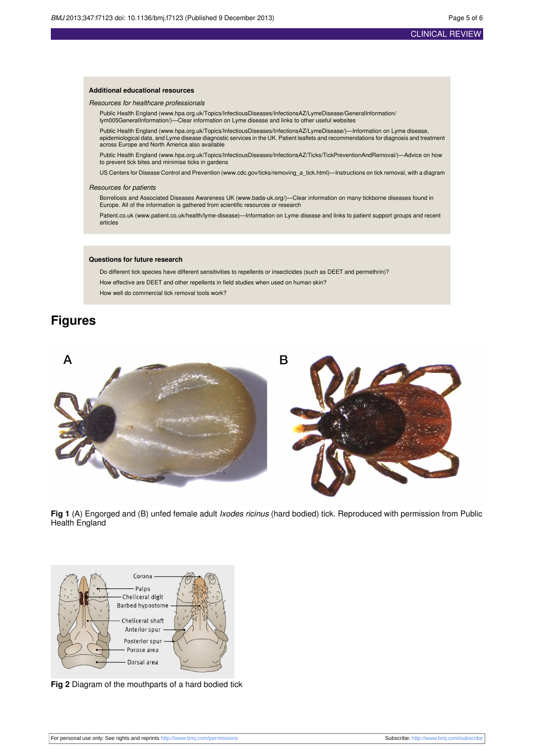#### **Additional educational resources**

#### Resources for healthcare professionals

Public Health England [\(www.hpa.org.uk/Topics/InfectiousDiseases/InfectionsAZ/LymeDisease/GeneralInformation/](http://www.hpa.org.uk/Topics/InfectiousDiseases/InfectionsAZ/LymeDisease/GeneralInformation/lym005GeneralInformation/) [lym005GeneralInformation/\)](http://www.hpa.org.uk/Topics/InfectiousDiseases/InfectionsAZ/LymeDisease/GeneralInformation/lym005GeneralInformation/)—Clear information on Lyme disease and links to other useful websites

Public Health England [\(www.hpa.org.uk/Topics/InfectiousDiseases/InfectionsAZ/LymeDisease/](http://www.hpa.org.uk/Topics/InfectiousDiseases/InfectionsAZ/LymeDisease/))—Information on Lyme disease, epidemiological data, and Lyme disease diagnostic services in the UK. Patient leaflets and recommendations for diagnosis and treatment across Europe and North America also available

Public Health England [\(www.hpa.org.uk/Topics/InfectiousDiseases/InfectionsAZ/Ticks/TickPreventionAndRemoval/](http://www.hpa.org.uk/Topics/InfectiousDiseases/InfectionsAZ/Ticks/TickPreventionAndRemoval/))—Advice on how to prevent tick bites and minimise ticks in gardens

US Centers for Disease Control and Prevention ([www.cdc.gov/ticks/removing\\_a\\_tick.html](http://www.cdc.gov/ticks/removing_a_tick.html))—Instructions on tick removal, with a diagram

#### Resources for patients

Borreliosis and Associated Diseases Awareness UK [\(www.bada-uk.org/\)](http://www.bada-uk.org/)—Clear information on many tickborne diseases found in Europe. All of the information is gathered from scientific resources or research

Patient.co.uk ([www.patient.co.uk/health/lyme-disease](http://www.patient.co.uk/health/lyme-disease))—Information on Lyme disease and links to patient support groups and recent articles

#### **Questions for future research**

Do different tick species have different sensitivities to repellents or insecticides (such as DEET and permethrin)? How effective are DEET and other repellents in field studies when used on human skin? How well do commercial tick removal tools work?

## <span id="page-4-0"></span>**Figures**



<span id="page-4-1"></span>**Fig 1** (A) Engorged and (B) unfed female adult Ixodes ricinus (hard bodied) tick. Reproduced with permission from Public Health England



**Fig 2** Diagram of the mouthparts of a hard bodied tick